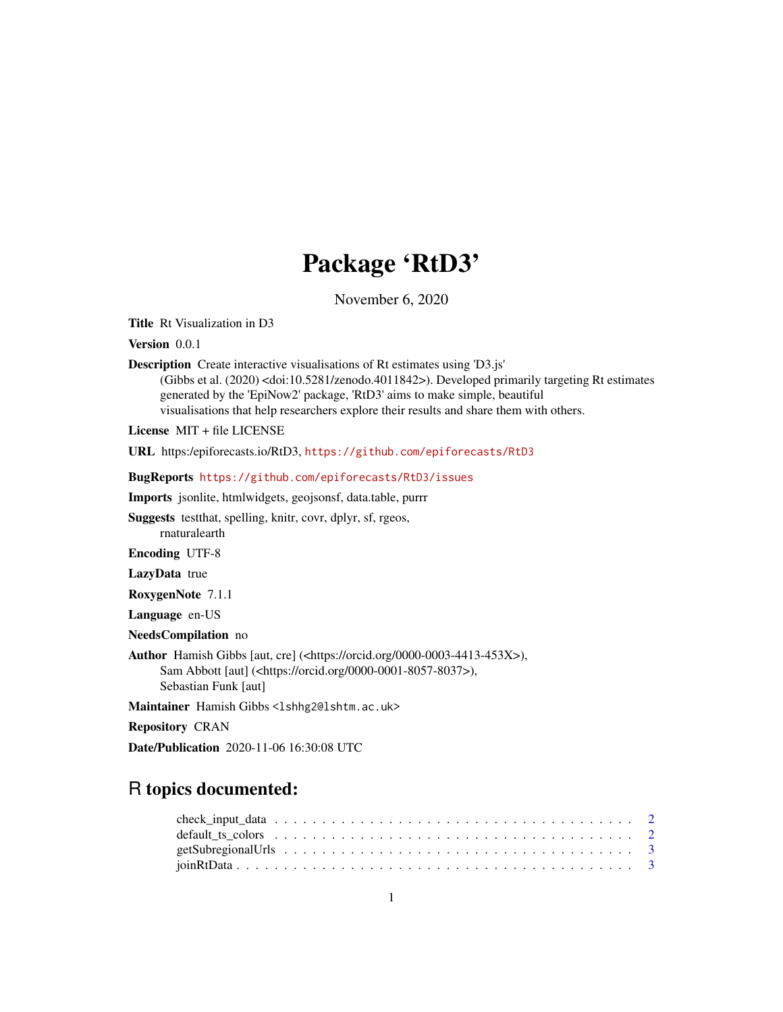## Package 'RtD3'

November 6, 2020

Title Rt Visualization in D3

Version 0.0.1

Description Create interactive visualisations of Rt estimates using 'D3.js' (Gibbs et al. (2020) <doi:10.5281/zenodo.4011842>). Developed primarily targeting Rt estimates generated by the 'EpiNow2' package, 'RtD3' aims to make simple, beautiful visualisations that help researchers explore their results and share them with others.

License MIT + file LICENSE

URL https:/epiforecasts.io/RtD3, <https://github.com/epiforecasts/RtD3>

BugReports <https://github.com/epiforecasts/RtD3/issues>

Imports jsonlite, htmlwidgets, geojsonsf, data.table, purrr

Suggests testthat, spelling, knitr, covr, dplyr, sf, rgeos, rnaturalearth

Encoding UTF-8

LazyData true

RoxygenNote 7.1.1

Language en-US

NeedsCompilation no

Author Hamish Gibbs [aut, cre] (<https://orcid.org/0000-0003-4413-453X>), Sam Abbott [aut] (<https://orcid.org/0000-0001-8057-8037>), Sebastian Funk [aut]

Maintainer Hamish Gibbs <lshhg2@lshtm.ac.uk>

Repository CRAN

Date/Publication 2020-11-06 16:30:08 UTC

## R topics documented: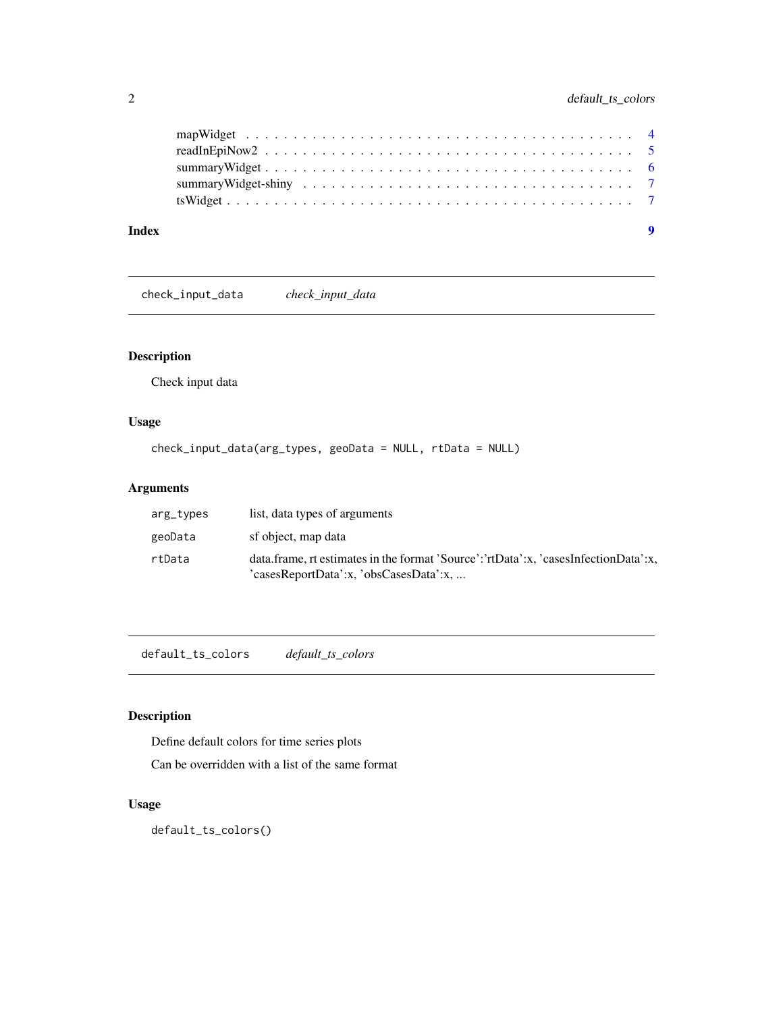<span id="page-1-0"></span>

| Index | - 9 |
|-------|-----|
|       |     |
|       |     |
|       |     |
|       |     |
|       |     |

check\_input\_data *check\_input\_data*

## Description

Check input data

#### Usage

```
check_input_data(arg_types, geoData = NULL, rtData = NULL)
```
## Arguments

| arg_types | list, data types of arguments                                                                                                 |
|-----------|-------------------------------------------------------------------------------------------------------------------------------|
| geoData   | sf object, map data                                                                                                           |
| rtData    | data.frame, rt estimates in the format 'Source':'rtData':x, 'casesInfectionData':x,<br>'casesReportData':x, 'obsCasesData':x, |

default\_ts\_colors *default\_ts\_colors*

## Description

Define default colors for time series plots

Can be overridden with a list of the same format

#### Usage

default\_ts\_colors()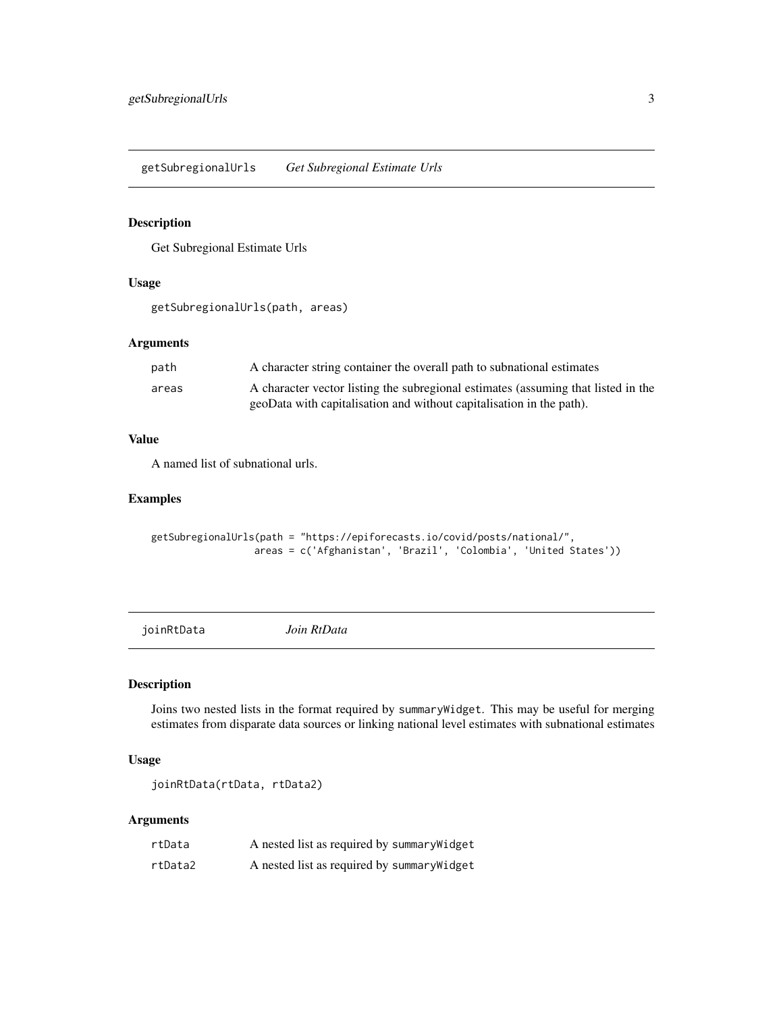<span id="page-2-0"></span>getSubregionalUrls *Get Subregional Estimate Urls*

#### Description

Get Subregional Estimate Urls

#### Usage

getSubregionalUrls(path, areas)

#### Arguments

| path  | A character string container the overall path to subnational estimates            |
|-------|-----------------------------------------------------------------------------------|
| areas | A character vector listing the subregional estimates (assuming that listed in the |
|       | geoData with capitalisation and without capitalisation in the path).              |

#### Value

A named list of subnational urls.

#### Examples

```
getSubregionalUrls(path = "https://epiforecasts.io/covid/posts/national/",
                 areas = c('Afghanistan', 'Brazil', 'Colombia', 'United States'))
```
joinRtData *Join RtData*

#### Description

Joins two nested lists in the format required by summaryWidget. This may be useful for merging estimates from disparate data sources or linking national level estimates with subnational estimates

#### Usage

joinRtData(rtData, rtData2)

| rtData  | A nested list as required by summary Widget |
|---------|---------------------------------------------|
| rtData2 | A nested list as required by summary Widget |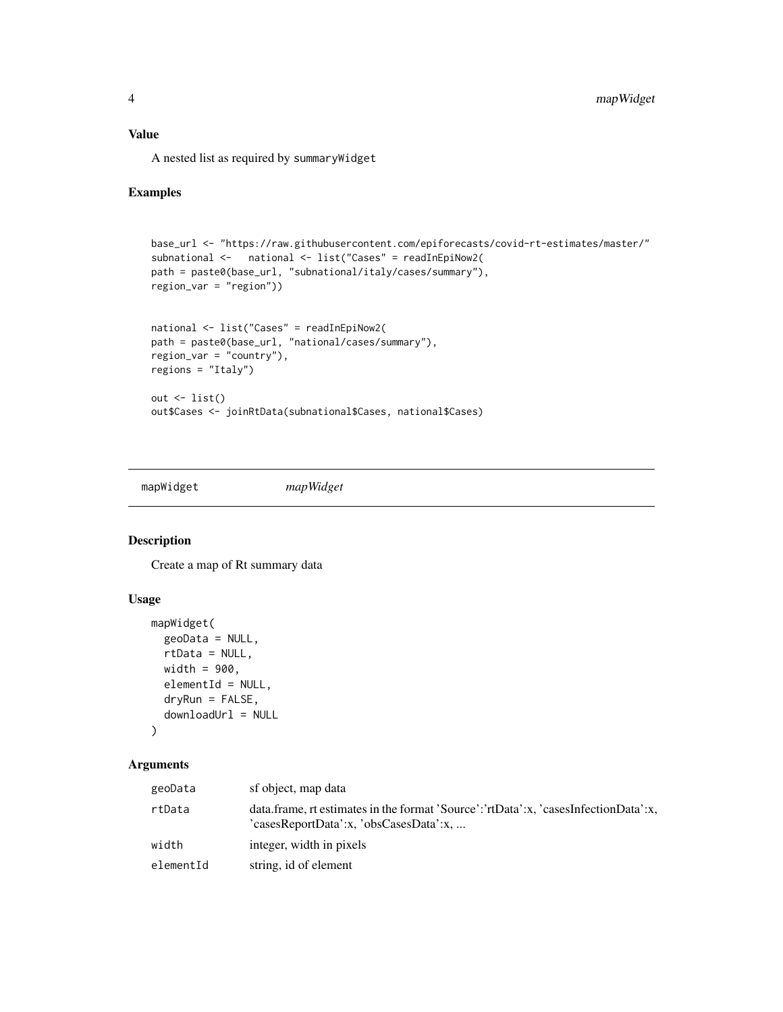#### <span id="page-3-0"></span>Value

A nested list as required by summaryWidget

#### Examples

```
base_url <- "https://raw.githubusercontent.com/epiforecasts/covid-rt-estimates/master/"
subnational <- national <- list("Cases" = readInEpiNow2(
path = paste0(base_url, "subnational/italy/cases/summary"),
region_var = "region"))
national <- list("Cases" = readInEpiNow2(
path = paste0(base_url, "national/cases/summary"),
region_var = "country"),
regions = "Italy")
out \leftarrow list()
out$Cases <- joinRtData(subnational$Cases, national$Cases)
```
mapWidget *mapWidget*

#### Description

Create a map of Rt summary data

#### Usage

```
mapWidget(
 geoData = NULL,
 rtData = NULL,
 width = 900,
  elementId = NULL,dryRun = FALSE,
  downloadUr1 = NULL\mathcal{E}
```

| geoData   | sf object, map data                                                                                                           |
|-----------|-------------------------------------------------------------------------------------------------------------------------------|
| rtData    | data.frame, rt estimates in the format 'Source':'rtData':x, 'casesInfectionData':x,<br>'casesReportData':x, 'obsCasesData':x, |
| width     | integer, width in pixels                                                                                                      |
| elementId | string, id of element                                                                                                         |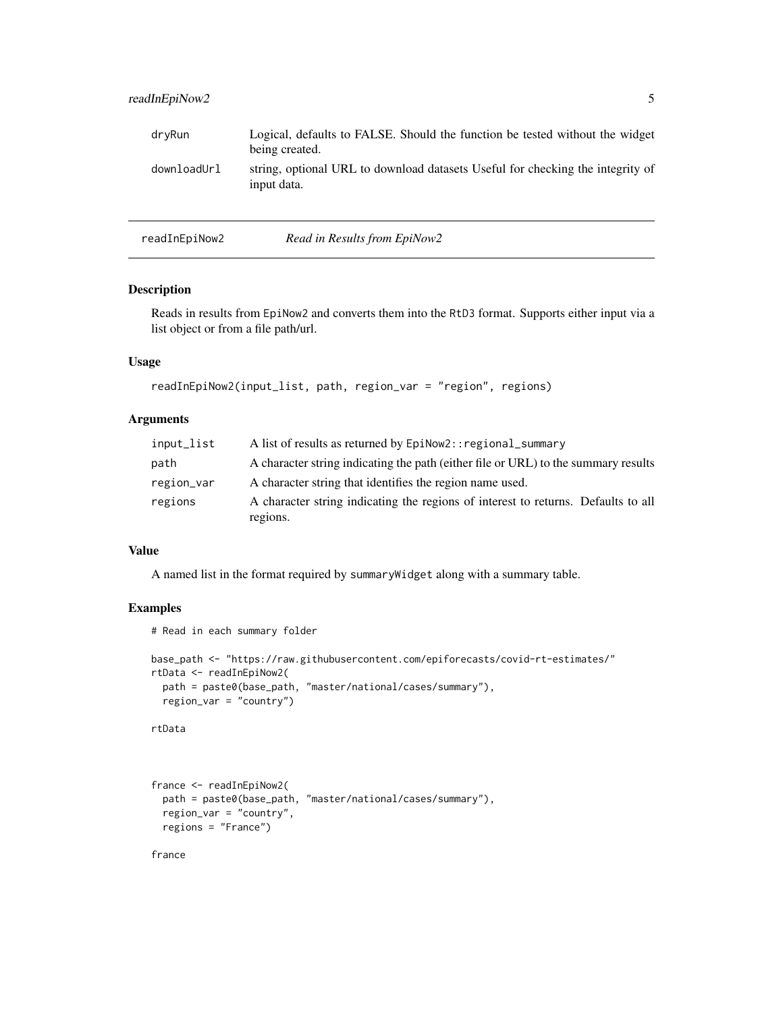#### <span id="page-4-0"></span>readInEpiNow2 5

| dryRun      | Logical, defaults to FALSE. Should the function be tested without the widget<br>being created. |
|-------------|------------------------------------------------------------------------------------------------|
| downloadUrl | string, optional URL to download datasets Useful for checking the integrity of<br>input data.  |

| readInEpiNow2 | Read in Results from EpiNow2 |
|---------------|------------------------------|
|               |                              |

#### Description

Reads in results from EpiNow2 and converts them into the RtD3 format. Supports either input via a list object or from a file path/url.

#### Usage

```
readInEpiNow2(input_list, path, region_var = "region", regions)
```
#### Arguments

| input_list | A list of results as returned by EpiNow2:: regional_summary                        |
|------------|------------------------------------------------------------------------------------|
| path       | A character string indicating the path (either file or URL) to the summary results |
| region_var | A character string that identifies the region name used.                           |
| regions    | A character string indicating the regions of interest to returns. Defaults to all  |
|            | regions.                                                                           |

#### Value

A named list in the format required by summaryWidget along with a summary table.

#### Examples

```
# Read in each summary folder
```

```
base_path <- "https://raw.githubusercontent.com/epiforecasts/covid-rt-estimates/"
rtData <- readInEpiNow2(
  path = paste0(base_path, "master/national/cases/summary"),
  region_var = "country")
```

```
rtData
```

```
france <- readInEpiNow2(
  path = paste0(base_path, "master/national/cases/summary"),
  region_var = "country",
  regions = "France")
```
france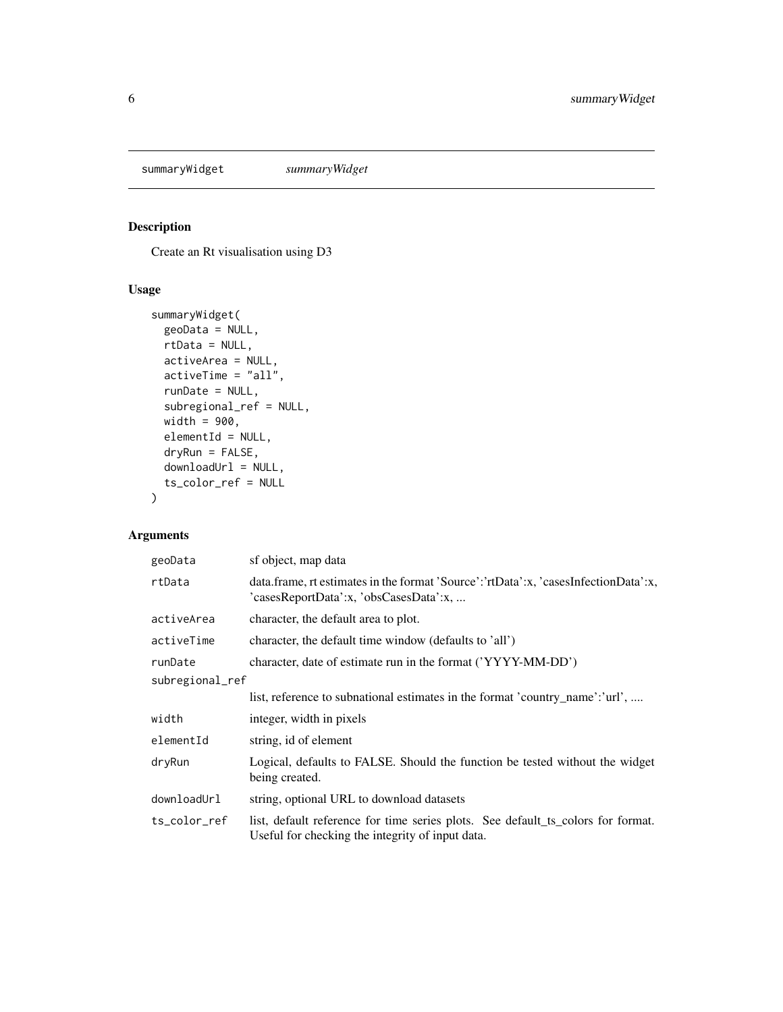<span id="page-5-0"></span>summaryWidget *summaryWidget*

## Description

Create an Rt visualisation using D3

#### Usage

```
summaryWidget(
 geoData = NULL,
 rtData = NULL,
 activeArea = NULL,
 activeTime = "all",
 runDate = NULL,
  subregional_ref = NULL,
 width = 900,
 elementId = NULL,
 dryRun = FALSE,
 downloadUrl = NULL,
  ts_color_ref = NULL
)
```

| geoData         | sf object, map data                                                                                                                  |
|-----------------|--------------------------------------------------------------------------------------------------------------------------------------|
| rtData          | data.frame, rt estimates in the format 'Source':'rtData':x, 'casesInfectionData':x,<br>'casesReportData':x, 'obsCasesData':x,        |
| activeArea      | character, the default area to plot.                                                                                                 |
| activeTime      | character, the default time window (defaults to 'all')                                                                               |
| runDate         | character, date of estimate run in the format ('YYYY-MM-DD')                                                                         |
| subregional_ref |                                                                                                                                      |
|                 | list, reference to subnational estimates in the format 'country_name':'url',                                                         |
| width           | integer, width in pixels                                                                                                             |
| elementId       | string, id of element                                                                                                                |
| dryRun          | Logical, defaults to FALSE. Should the function be tested without the widget<br>being created.                                       |
| downloadUrl     | string, optional URL to download datasets                                                                                            |
| ts_color_ref    | list, default reference for time series plots. See default_ts_colors for format.<br>Useful for checking the integrity of input data. |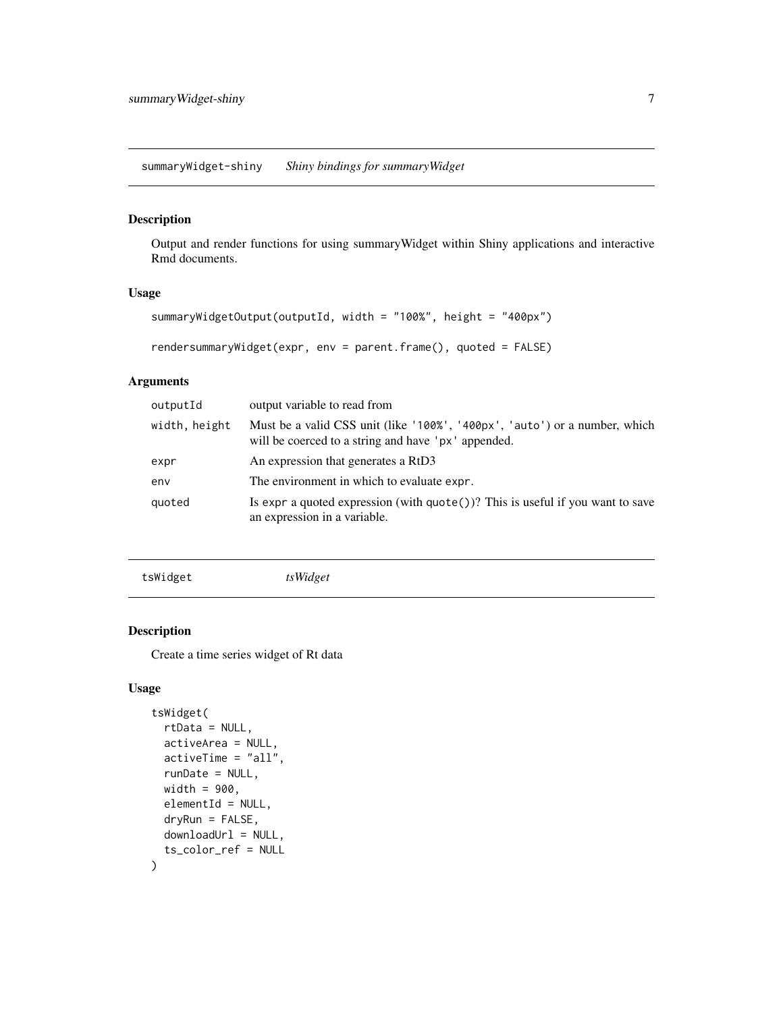<span id="page-6-0"></span>summaryWidget-shiny *Shiny bindings for summaryWidget*

#### Description

Output and render functions for using summaryWidget within Shiny applications and interactive Rmd documents.

#### Usage

```
summaryWidgetOutput(outputId, width = "100%", height = "400px")
rendersummaryWidget(expr, env = parent.frame(), quoted = FALSE)
```
#### Arguments

| outputId      | output variable to read from                                                                                                      |
|---------------|-----------------------------------------------------------------------------------------------------------------------------------|
| width, height | Must be a valid CSS unit (like '100%', '400px', 'auto') or a number, which<br>will be coerced to a string and have 'px' appended. |
| expr          | An expression that generates a RtD3                                                                                               |
| env           | The environment in which to evaluate expr.                                                                                        |
| quoted        | Is expr a quoted expression (with $\text{quote}()$ )? This is useful if you want to save<br>an expression in a variable.          |

tsWidget *tsWidget*

#### Description

Create a time series widget of Rt data

#### Usage

```
tsWidget(
  rtData = NULL,
  activeArea = NULL,
  activeTime = "all",
  runDate = NULL,
  width = 900.
 elementId = NULL,dryRun = FALSE,
 downloadUrl = NULL,
  ts_color_ref = NULL
\mathcal{E}
```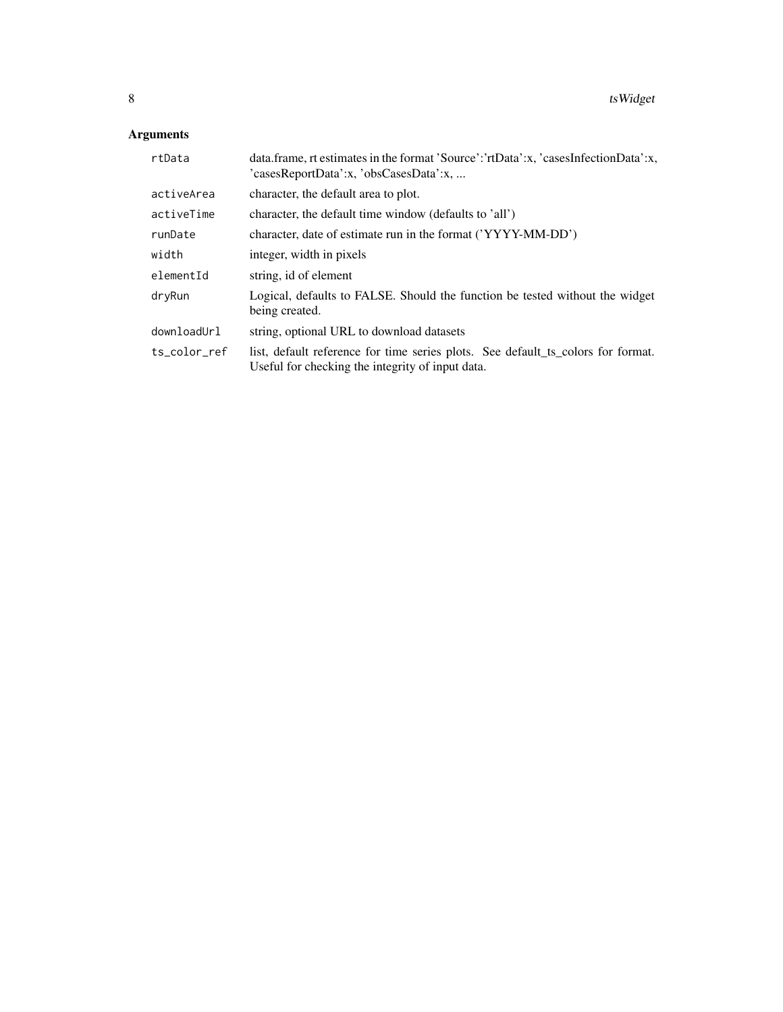| rtData       | data.frame, rt estimates in the format 'Source':'rtData':x, 'casesInfectionData':x,<br>'casesReportData':x, 'obsCasesData':x,        |
|--------------|--------------------------------------------------------------------------------------------------------------------------------------|
| activeArea   | character, the default area to plot.                                                                                                 |
| activeTime   | character, the default time window (defaults to 'all')                                                                               |
| runDate      | character, date of estimate run in the format ('YYYY-MM-DD')                                                                         |
| width        | integer, width in pixels                                                                                                             |
| elementId    | string, id of element                                                                                                                |
| dryRun       | Logical, defaults to FALSE. Should the function be tested without the widget<br>being created.                                       |
| downloadUrl  | string, optional URL to download datasets                                                                                            |
| ts color ref | list, default reference for time series plots. See default_ts_colors for format.<br>Useful for checking the integrity of input data. |